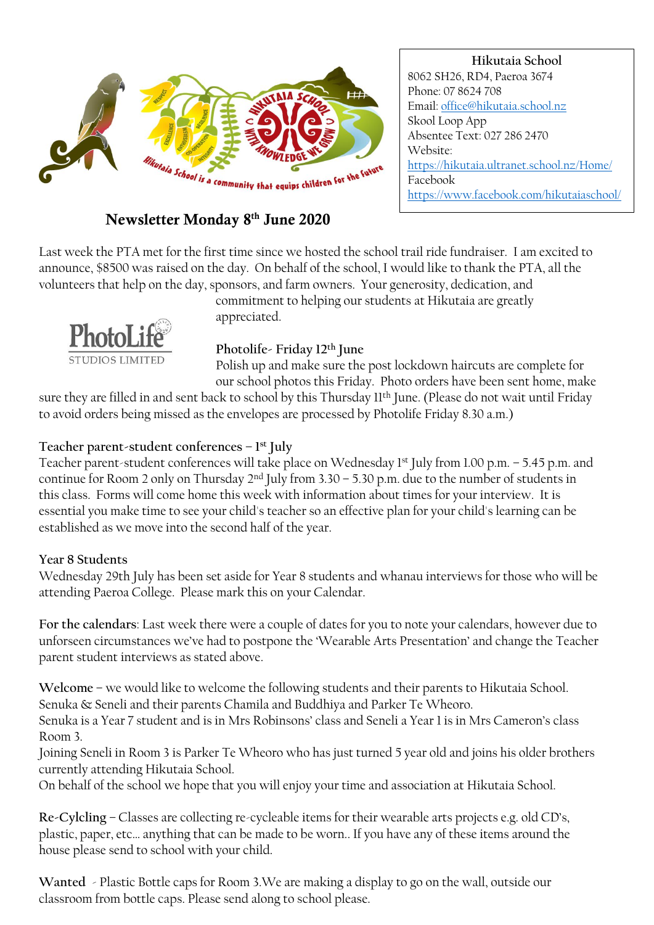

# Newsletter Monday 8 th June 2020

**Hikutaia School** 8062 SH26, RD4, Paeroa 3674 Phone: 07 8624 708 Email[: office@hikutaia.school.nz](mailto:office@hikutaia.school.nz) Skool Loop App Absentee Text: 027 286 2470 Website: <https://hikutaia.ultranet.school.nz/Home/> Facebook <https://www.facebook.com/hikutaiaschool/>

Last week the PTA met for the first time since we hosted the school trail ride fundraiser. I am excited to announce, \$8500 was raised on the day. On behalf of the school, I would like to thank the PTA, all the volunteers that help on the day, sponsors, and farm owners. Your generosity, dedication, and



commitment to helping our students at Hikutaia are greatly appreciated.

### **Photolife- Friday 12th June**

Polish up and make sure the post lockdown haircuts are complete for our school photos this Friday. Photo orders have been sent home, make

sure they are filled in and sent back to school by this Thursday 11<sup>th</sup> June. (Please do not wait until Friday to avoid orders being missed as the envelopes are processed by Photolife Friday 8.30 a.m.)

### **Teacher parent-student conferences – 1 st July**

Teacher parent-student conferences will take place on Wednesday 1<sup>st</sup> July from 1.00 p.m. – 5.45 p.m. and continue for Room 2 only on Thursday 2<sup>nd</sup> July from 3.30 – 5.30 p.m. due to the number of students in this class. Forms will come home this week with information about times for your interview. It is essential you make time to see your child's teacher so an effective plan for your child's learning can be established as we move into the second half of the year.

#### **Year 8 Students**

Wednesday 29th July has been set aside for Year 8 students and whanau interviews for those who will be attending Paeroa College. Please mark this on your Calendar.

**For the calendars**: Last week there were a couple of dates for you to note your calendars, however due to unforseen circumstances we've had to postpone the 'Wearable Arts Presentation' and change the Teacher parent student interviews as stated above.

**Welcome** – we would like to welcome the following students and their parents to Hikutaia School. Senuka & Seneli and their parents Chamila and Buddhiya and Parker Te Wheoro.

Senuka is a Year 7 student and is in Mrs Robinsons' class and Seneli a Year 1 is in Mrs Cameron's class Room 3.

Joining Seneli in Room 3 is Parker Te Wheoro who has just turned 5 year old and joins his older brothers currently attending Hikutaia School.

On behalf of the school we hope that you will enjoy your time and association at Hikutaia School.

**Re-Cylcling** – Classes are collecting re-cycleable items for their wearable arts projects e.g. old CD's, plastic, paper, etc… anything that can be made to be worn.. If you have any of these items around the house please send to school with your child.

**Wanted** - Plastic Bottle caps for Room 3.We are making a display to go on the wall, outside our classroom from bottle caps. Please send along to school please.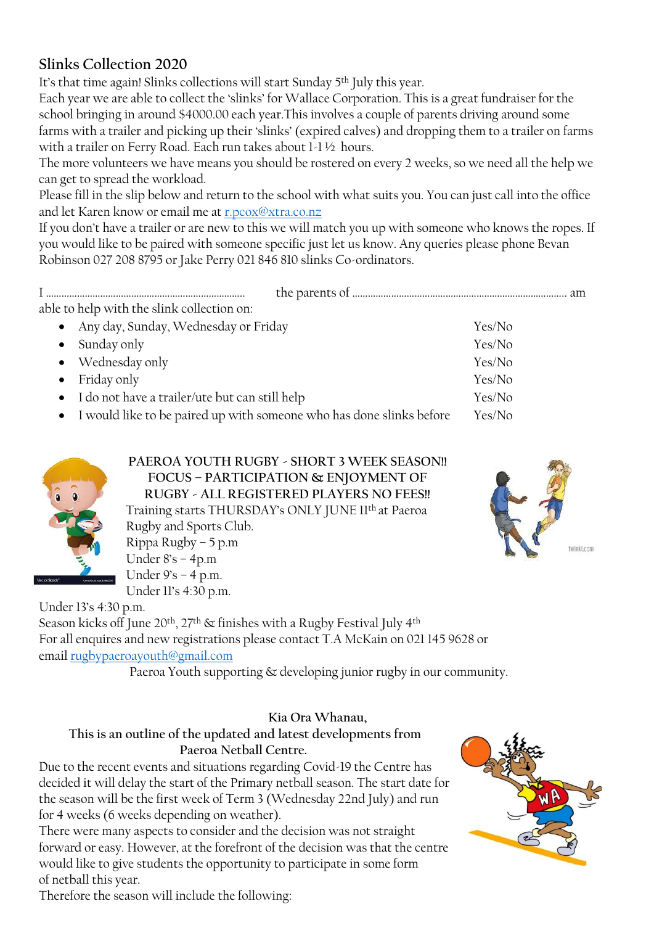## **Slinks Collection 2020**

It's that time again! Slinks collections will start Sunday 5<sup>th</sup> July this year.

Each year we are able to collect the 'slinks' for Wallace Corporation. This is a great fundraiser for the school bringing in around \$4000.00 each year.This involves a couple of parents driving around some farms with a trailer and picking up their 'slinks' (expired calves) and dropping them to a trailer on farms with a trailer on Ferry Road. Each run takes about 1-1 ½ hours.

The more volunteers we have means you should be rostered on every 2 weeks, so we need all the help we can get to spread the workload.

Please fill in the slip below and return to the school with what suits you. You can just call into the office and let Karen know or email me at [r.pcox@xtra.co.nz](mailto:r.pcox@xtra.co.nz)

If you don't have a trailer or are new to this we will match you up with someone who knows the ropes. If you would like to be paired with someone specific just let us know. Any queries please phone Bevan Robinson 027 208 8795 or Jake Perry 021 846 810 slinks Co-ordinators.

| able to help with the slink collection on:                             |        |
|------------------------------------------------------------------------|--------|
| Any day, Sunday, Wednesday or Friday<br>$\bullet$                      | Yes/No |
| Sunday only<br>$\bullet$                                               | Yes/No |
| • Wednesday only                                                       | Yes/No |
| Friday only<br>$\bullet$                                               | Yes/No |
| • I do not have a trailer/ute but can still help                       | Yes/No |
| • I would like to be paired up with someone who has done slinks before | Yes/No |



**PAEROA YOUTH RUGBY - SHORT 3 WEEK SEASON!! FOCUS – PARTICIPATION & ENJOYMENT OF RUGBY - ALL REGISTERED PLAYERS NO FEES!!** Training starts THURSDAY's ONLY JUNE 11th at Paeroa Rugby and Sports Club. Rippa Rugby – 5 p.m Under 8's – 4p.m Under  $9's - 4 p.m.$ 



Under 13's 4:30 p.m.

Season kicks off June 20<sup>th</sup>, 27<sup>th</sup> & finishes with a Rugby Festival July 4<sup>th</sup> For all enquires and new registrations please contact T.A McKain on 021 145 9628 or email [rugbypaeroayouth@gmail.com](mailto:rugbypaeroayouth@gmail.com)

Paeroa Youth supporting & developing junior rugby in our community.

## **Kia Ora Whanau,**

#### **This is an outline of the updated and latest developments from Paeroa Netball Centre.**

Due to the recent events and situations regarding Covid-19 the Centre has decided it will delay the start of the Primary netball season. The start date for the season will be the first week of Term 3 (Wednesday 22nd July) and run for 4 weeks (6 weeks depending on weather).

There were many aspects to consider and the decision was not straight forward or easy. However, at the forefront of the decision was that the centre would like to give students the opportunity to participate in some form of netball this year.



Therefore the season will include the following:

Under 11's 4:30 p.m.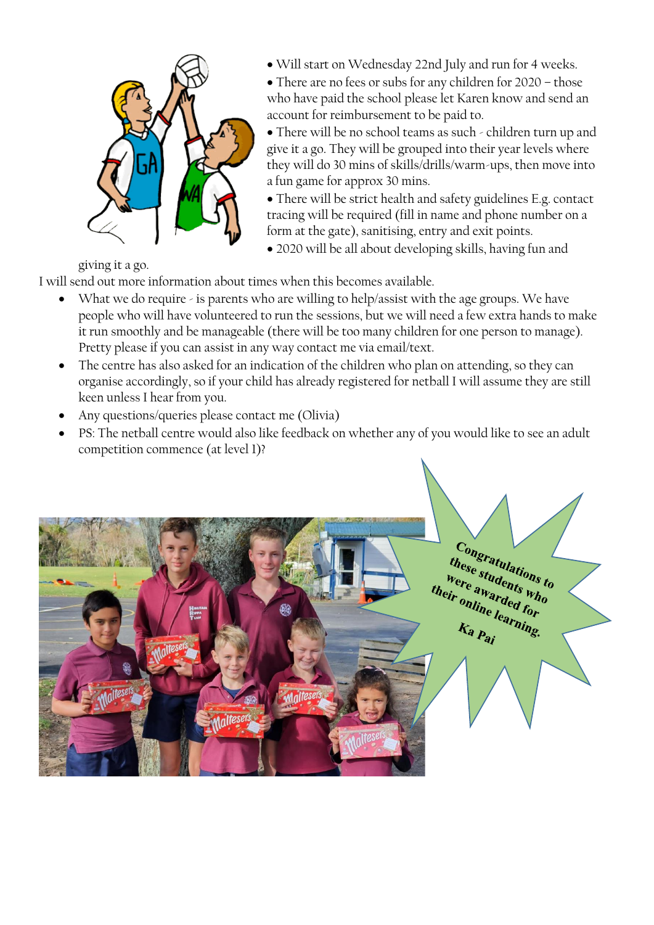

Will start on Wednesday 22nd July and run for 4 weeks.

• There are no fees or subs for any children for 2020 – those who have paid the school please let Karen know and send an account for reimbursement to be paid to.

 There will be no school teams as such - children turn up and give it a go. They will be grouped into their year levels where they will do 30 mins of skills/drills/warm-ups, then move into a fun game for approx 30 mins.

 There will be strict health and safety guidelines E.g. contact tracing will be required (fill in name and phone number on a form at the gate), sanitising, entry and exit points.

2020 will be all about developing skills, having fun and

giving it a go.

I will send out more information about times when this becomes available.

- What we do require is parents who are willing to help/assist with the age groups. We have people who will have volunteered to run the sessions, but we will need a few extra hands to make it run smoothly and be manageable (there will be too many children for one person to manage). Pretty please if you can assist in any way contact me via email/text.
- The centre has also asked for an indication of the children who plan on attending, so they can organise accordingly, so if your child has already registered for netball I will assume they are still keen unless I hear from you.
- Any questions/queries please contact me (Olivia)
- PS: The netball centre would also like feedback on whether any of you would like to see an adult competition commence (at level 1)?